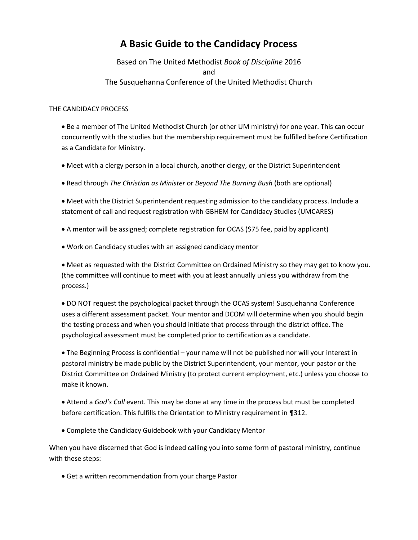# **A Basic Guide to the Candidacy Process**

Based on The United Methodist *Book of Discipline* 2016 and The Susquehanna Conference of the United Methodist Church

THE CANDIDACY PROCESS

 Be a member of The United Methodist Church (or other UM ministry) for one year. This can occur concurrently with the studies but the membership requirement must be fulfilled before Certification as a Candidate for Ministry.

- Meet with a clergy person in a local church, another clergy, or the District Superintendent
- Read through *The Christian as Minister* or *Beyond The Burning Bush* (both are optional)
- Meet with the District Superintendent requesting admission to the candidacy process. Include a statement of call and request registration with GBHEM for Candidacy Studies (UMCARES)
- A mentor will be assigned; complete registration for OCAS (\$75 fee, paid by applicant)
- Work on Candidacy studies with an assigned candidacy mentor

 Meet as requested with the District Committee on Ordained Ministry so they may get to know you. (the committee will continue to meet with you at least annually unless you withdraw from the process.)

 DO NOT request the psychological packet through the OCAS system! Susquehanna Conference uses a different assessment packet. Your mentor and DCOM will determine when you should begin the testing process and when you should initiate that process through the district office. The psychological assessment must be completed prior to certification as a candidate.

 The Beginning Process is confidential – your name will not be published nor will your interest in pastoral ministry be made public by the District Superintendent, your mentor, your pastor or the District Committee on Ordained Ministry (to protect current employment, etc.) unless you choose to make it known.

- Attend a *God's Call* event. This may be done at any time in the process but must be completed before certification. This fulfills the Orientation to Ministry requirement in ¶312.
- Complete the Candidacy Guidebook with your Candidacy Mentor

When you have discerned that God is indeed calling you into some form of pastoral ministry, continue with these steps:

Get a written recommendation from your charge Pastor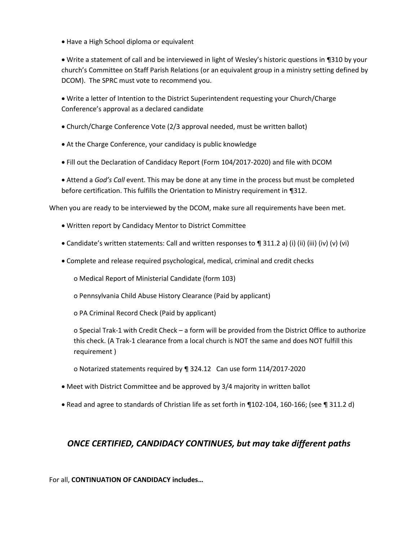Have a High School diploma or equivalent

 Write a statement of call and be interviewed in light of Wesley's historic questions in ¶310 by your church's Committee on Staff Parish Relations (or an equivalent group in a ministry setting defined by DCOM). The SPRC must vote to recommend you.

 Write a letter of Intention to the District Superintendent requesting your Church/Charge Conference's approval as a declared candidate

- Church/Charge Conference Vote (2/3 approval needed, must be written ballot)
- At the Charge Conference, your candidacy is public knowledge
- Fill out the Declaration of Candidacy Report (Form 104/2017-2020) and file with DCOM

 Attend a *God's Call* event. This may be done at any time in the process but must be completed before certification. This fulfills the Orientation to Ministry requirement in ¶312.

When you are ready to be interviewed by the DCOM, make sure all requirements have been met.

- Written report by Candidacy Mentor to District Committee
- Candidate's written statements: Call and written responses to ¶ 311.2 a) (i) (ii) (iii) (iv) (v) (vi)
- Complete and release required psychological, medical, criminal and credit checks
	- o Medical Report of Ministerial Candidate (form 103)
	- o Pennsylvania Child Abuse History Clearance (Paid by applicant)
	- o PA Criminal Record Check (Paid by applicant)

o Special Trak-1 with Credit Check – a form will be provided from the District Office to authorize this check. (A Trak-1 clearance from a local church is NOT the same and does NOT fulfill this requirement )

- o Notarized statements required by ¶ 324.12 Can use form 114/2017-2020
- Meet with District Committee and be approved by 3/4 majority in written ballot
- Read and agree to standards of Christian life as set forth in ¶102-104, 160-166; (see ¶ 311.2 d)

# *ONCE CERTIFIED, CANDIDACY CONTINUES, but may take different paths*

For all, **CONTINUATION OF CANDIDACY includes…**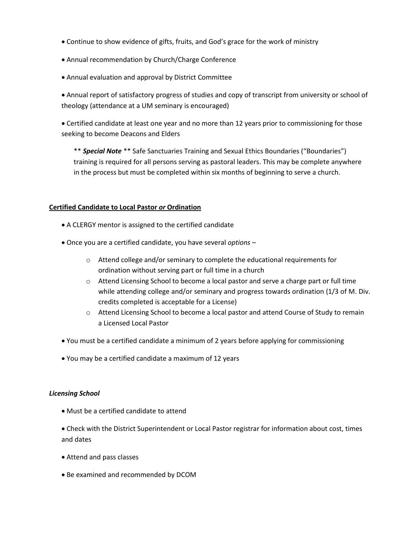- Continue to show evidence of gifts, fruits, and God's grace for the work of ministry
- Annual recommendation by Church/Charge Conference
- Annual evaluation and approval by District Committee

 Annual report of satisfactory progress of studies and copy of transcript from university or school of theology (attendance at a UM seminary is encouraged)

 Certified candidate at least one year and no more than 12 years prior to commissioning for those seeking to become Deacons and Elders

\*\* *Special Note* \*\* Safe Sanctuaries Training and Sexual Ethics Boundaries ("Boundaries") training is required for all persons serving as pastoral leaders. This may be complete anywhere in the process but must be completed within six months of beginning to serve a church.

## **Certified Candidate to Local Pastor** *or* **Ordination**

- A CLERGY mentor is assigned to the certified candidate
- Once you are a certified candidate, you have several *options*
	- $\circ$  Attend college and/or seminary to complete the educational requirements for ordination without serving part or full time in a church
	- o Attend Licensing School to become a local pastor and serve a charge part or full time while attending college and/or seminary and progress towards ordination (1/3 of M. Div. credits completed is acceptable for a License)
	- o Attend Licensing School to become a local pastor and attend Course of Study to remain a Licensed Local Pastor
- You must be a certified candidate a minimum of 2 years before applying for commissioning
- You may be a certified candidate a maximum of 12 years

#### *Licensing School*

Must be a certified candidate to attend

 Check with the District Superintendent or Local Pastor registrar for information about cost, times and dates

- Attend and pass classes
- Be examined and recommended by DCOM